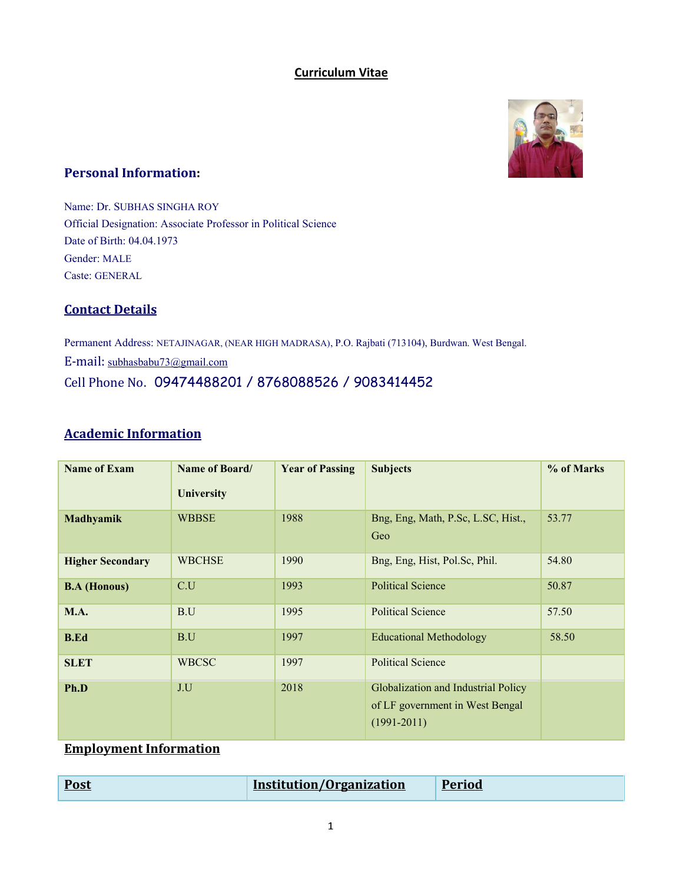#### **Curriculum Vitae**



#### **Personal Information:**

Name: Dr. SUBHAS SINGHA ROY Official Designation: Associate Professor in Political Science Date of Birth: 04.04.1973 Gender: MALE Caste: GENERAL

### **Contact Details**

Permanent Address: NETAJINAGAR, (NEAR HIGH MADRASA), P.O. Rajbati (713104), Burdwan. West Bengal. E-mail: [subhasbabu73@gmail.com](mailto:subhasbabu73@gmail.com) Cell Phone No. 09474488201 / 8768088526 / 9083414452

### **Academic Information**

| <b>Name of Exam</b>     | Name of Board/<br><b>University</b> | <b>Year of Passing</b> | <b>Subjects</b>                                                                           | % of Marks |
|-------------------------|-------------------------------------|------------------------|-------------------------------------------------------------------------------------------|------------|
| Madhyamik               | <b>WBBSE</b>                        | 1988                   | Bng, Eng, Math, P.Sc, L.SC, Hist.,<br>Geo                                                 | 53.77      |
| <b>Higher Secondary</b> | <b>WBCHSE</b>                       | 1990                   | Bng, Eng, Hist, Pol.Sc, Phil.                                                             | 54.80      |
| <b>B.A</b> (Honous)     | C.U                                 | 1993                   | <b>Political Science</b>                                                                  | 50.87      |
| <b>M.A.</b>             | B.U                                 | 1995                   | <b>Political Science</b>                                                                  | 57.50      |
| <b>B.Ed</b>             | B.U                                 | 1997                   | <b>Educational Methodology</b>                                                            | 58.50      |
| <b>SLET</b>             | <b>WBCSC</b>                        | 1997                   | <b>Political Science</b>                                                                  |            |
| Ph.D                    | J.U                                 | 2018                   | Globalization and Industrial Policy<br>of LF government in West Bengal<br>$(1991 - 2011)$ |            |

### **Employment Information**

| <b>Post</b><br>__ | Institution/Organization | <b>Period</b> |
|-------------------|--------------------------|---------------|
|-------------------|--------------------------|---------------|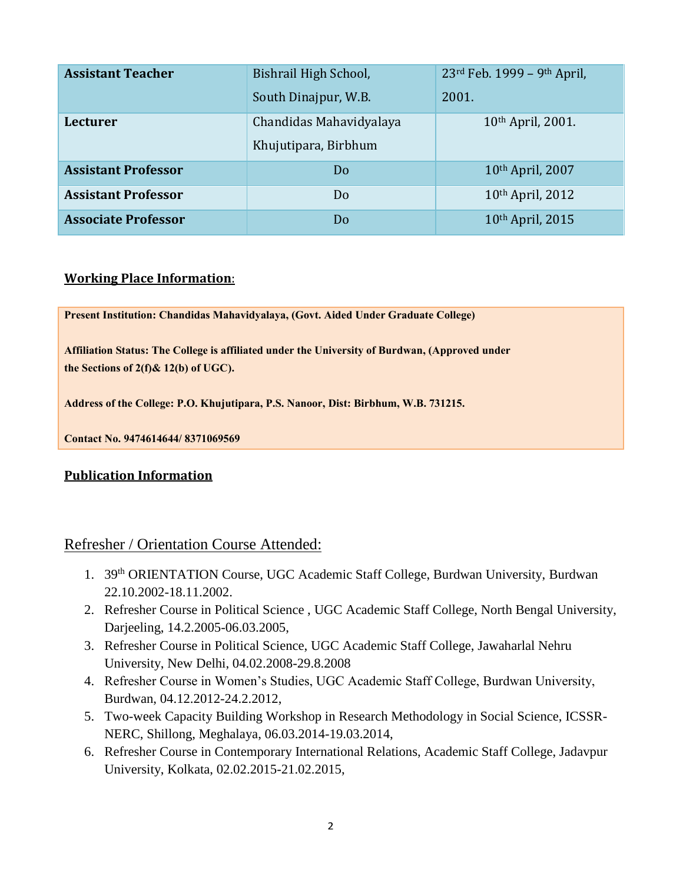| <b>Assistant Teacher</b>   | Bishrail High School,   | 23rd Feb. 1999 - 9th April, |
|----------------------------|-------------------------|-----------------------------|
|                            | South Dinajpur, W.B.    | 2001.                       |
| Lecturer                   | Chandidas Mahavidyalaya | 10th April, 2001.           |
|                            | Khujutipara, Birbhum    |                             |
| <b>Assistant Professor</b> | Do                      | 10th April, 2007            |
| <b>Assistant Professor</b> | Do                      | 10th April, 2012            |
| <b>Associate Professor</b> | Do                      | 10th April, 2015            |

### **Working Place Information**:

**Present Institution: Chandidas Mahavidyalaya, (Govt. Aided Under Graduate College)**

**Affiliation Status: The College is affiliated under the University of Burdwan, (Approved under the Sections of 2(f)& 12(b) of UGC).**

**Address of the College: P.O. Khujutipara, P.S. Nanoor, Dist: Birbhum, W.B. 731215.** 

**Contact No. 9474614644/ 8371069569**

#### **Publication Information**

### Refresher / Orientation Course Attended:

- 1. 39th ORIENTATION Course, UGC Academic Staff College, Burdwan University, Burdwan 22.10.2002-18.11.2002.
- 2. Refresher Course in Political Science , UGC Academic Staff College, North Bengal University, Darjeeling, 14.2.2005-06.03.2005,
- 3. Refresher Course in Political Science, UGC Academic Staff College, Jawaharlal Nehru University, New Delhi, 04.02.2008-29.8.2008
- 4. Refresher Course in Women's Studies, UGC Academic Staff College, Burdwan University, Burdwan, 04.12.2012-24.2.2012,
- 5. Two-week Capacity Building Workshop in Research Methodology in Social Science, ICSSR-NERC, Shillong, Meghalaya, 06.03.2014-19.03.2014,
- 6. Refresher Course in Contemporary International Relations, Academic Staff College, Jadavpur University, Kolkata, 02.02.2015-21.02.2015,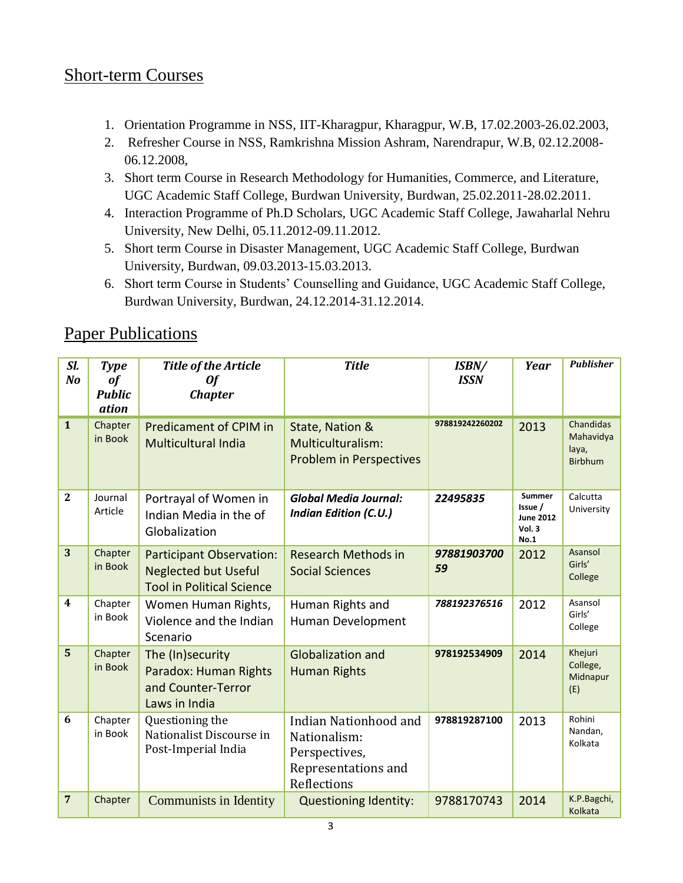### Short-term Courses

- 1. Orientation Programme in NSS, IIT-Kharagpur, Kharagpur, W.B, 17.02.2003-26.02.2003,
- 2. Refresher Course in NSS, Ramkrishna Mission Ashram, Narendrapur, W.B, 02.12.2008- 06.12.2008,
- 3. Short term Course in Research Methodology for Humanities, Commerce, and Literature, UGC Academic Staff College, Burdwan University, Burdwan, 25.02.2011-28.02.2011.
- 4. Interaction Programme of Ph.D Scholars, UGC Academic Staff College, Jawaharlal Nehru University, New Delhi, 05.11.2012-09.11.2012.
- 5. Short term Course in Disaster Management, UGC Academic Staff College, Burdwan University, Burdwan, 09.03.2013-15.03.2013.
- 6. Short term Course in Students' Counselling and Guidance, UGC Academic Staff College, Burdwan University, Burdwan, 24.12.2014-31.12.2014.

### Paper Publications

| SI.<br>N <sub>o</sub>   | <b>Type</b><br>of<br><b>Public</b><br>ation | <b>Title of the Article</b><br><b>Of</b><br><b>Chapter</b>                                         | <b>Title</b>                                                                                 | ISBN/<br><b>ISSN</b> | Year                                                   | <b>Publisher</b>                                  |
|-------------------------|---------------------------------------------|----------------------------------------------------------------------------------------------------|----------------------------------------------------------------------------------------------|----------------------|--------------------------------------------------------|---------------------------------------------------|
| $\mathbf{1}$            | Chapter<br>in Book                          | <b>Predicament of CPIM in</b><br><b>Multicultural India</b>                                        | State, Nation &<br>Multiculturalism:<br><b>Problem in Perspectives</b>                       | 978819242260202      | 2013                                                   | Chandidas<br>Mahavidya<br>laya,<br><b>Birbhum</b> |
| $\overline{2}$          | Journal<br>Article                          | Portrayal of Women in<br>Indian Media in the of<br>Globalization                                   | <b>Global Media Journal:</b><br><b>Indian Edition (C.U.)</b>                                 | 22495835             | Summer<br>Issue /<br><b>June 2012</b><br>Vol.3<br>No.1 | Calcutta<br>University                            |
| 3                       | Chapter<br>in Book                          | <b>Participant Observation:</b><br><b>Neglected but Useful</b><br><b>Tool in Political Science</b> | <b>Research Methods in</b><br><b>Social Sciences</b>                                         | 97881903700<br>59    | 2012                                                   | Asansol<br>Girls'<br>College                      |
| $\overline{\mathbf{4}}$ | Chapter<br>in Book                          | Women Human Rights,<br>Violence and the Indian<br>Scenario                                         | Human Rights and<br>Human Development                                                        | 788192376516         | 2012                                                   | Asansol<br>Girls'<br>College                      |
| 5                       | Chapter<br>in Book                          | The (In)security<br>Paradox: Human Rights<br>and Counter-Terror<br>Laws in India                   | <b>Globalization and</b><br><b>Human Rights</b>                                              | 978192534909         | 2014                                                   | Khejuri<br>College,<br>Midnapur<br>(E)            |
| 6                       | Chapter<br>in Book                          | Questioning the<br>Nationalist Discourse in<br>Post-Imperial India                                 | Indian Nationhood and<br>Nationalism:<br>Perspectives,<br>Representations and<br>Reflections | 978819287100         | 2013                                                   | Rohini<br>Nandan,<br>Kolkata                      |
| $\overline{7}$          | Chapter                                     | <b>Communists in Identity</b>                                                                      | <b>Questioning Identity:</b>                                                                 | 9788170743           | 2014                                                   | K.P.Bagchi,<br>Kolkata                            |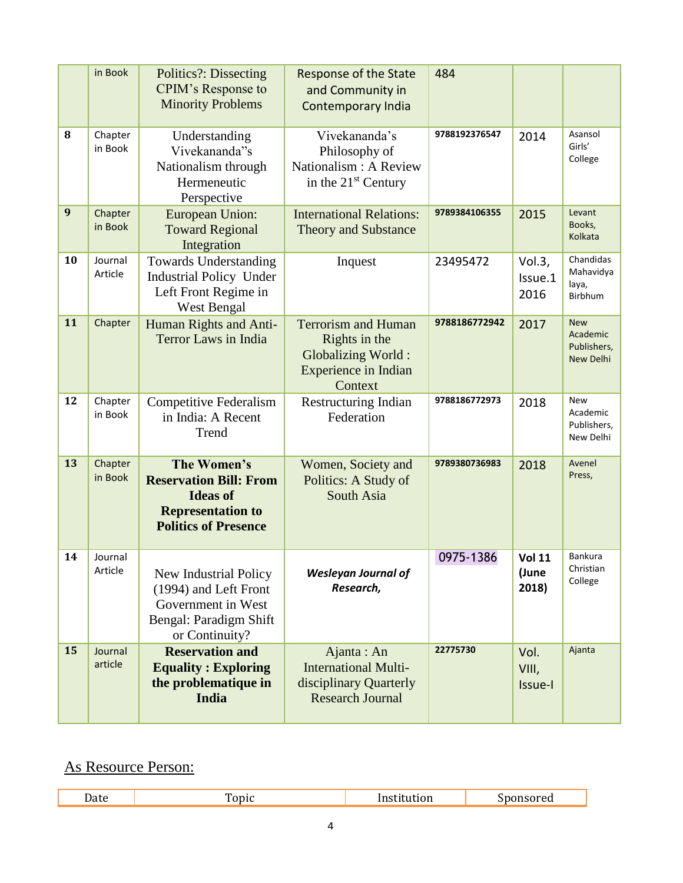|    | in Book            | <b>Politics</b> ?: Dissecting<br>CPIM's Response to<br><b>Minority Problems</b>                                            | Response of the State<br>and Community in<br><b>Contemporary India</b>                               | 484           |                                 |                                                    |
|----|--------------------|----------------------------------------------------------------------------------------------------------------------------|------------------------------------------------------------------------------------------------------|---------------|---------------------------------|----------------------------------------------------|
| 8  | Chapter<br>in Book | Understanding<br>Vivekananda"s<br>Nationalism through<br>Hermeneutic<br>Perspective                                        | Vivekananda's<br>Philosophy of<br>Nationalism : A Review<br>in the $21st$ Century                    | 9788192376547 | 2014                            | Asansol<br>Girls'<br>College                       |
| 9  | Chapter<br>in Book | <b>European Union:</b><br><b>Toward Regional</b><br>Integration                                                            | <b>International Relations:</b><br><b>Theory and Substance</b>                                       | 9789384106355 | 2015                            | Levant<br>Books,<br>Kolkata                        |
| 10 | Journal<br>Article | <b>Towards Understanding</b><br><b>Industrial Policy Under</b><br>Left Front Regime in<br>West Bengal                      | Inquest                                                                                              | 23495472      | Vol.3,<br>Issue.1<br>2016       | Chandidas<br>Mahavidya<br>laya,<br>Birbhum         |
| 11 | Chapter            | Human Rights and Anti-<br><b>Terror Laws in India</b>                                                                      | <b>Terrorism and Human</b><br>Rights in the<br>Globalizing World:<br>Experience in Indian<br>Context | 9788186772942 | 2017                            | <b>New</b><br>Academic<br>Publishers,<br>New Delhi |
| 12 | Chapter<br>in Book | <b>Competitive Federalism</b><br>in India: A Recent<br>Trend                                                               | <b>Restructuring Indian</b><br>Federation                                                            | 9788186772973 | 2018                            | <b>New</b><br>Academic<br>Publishers,<br>New Delhi |
| 13 | Chapter<br>in Book | The Women's<br><b>Reservation Bill: From</b><br><b>Ideas of</b><br><b>Representation to</b><br><b>Politics of Presence</b> | Women, Society and<br>Politics: A Study of<br>South Asia                                             | 9789380736983 | 2018                            | Avenel<br>Press,                                   |
| 14 | Journal<br>Article | New Industrial Policy<br>(1994) and Left Front<br>Government in West<br>Bengal: Paradigm Shift<br>or Continuity?           | <b>Wesleyan Journal of</b><br>Research,                                                              | 0975-1386     | <b>Vol 11</b><br>(June<br>2018) | <b>Bankura</b><br>Christian<br>College             |
| 15 | Journal<br>article | <b>Reservation and</b><br><b>Equality: Exploring</b><br>the problematique in<br>India                                      | Ajanta: An<br><b>International Multi-</b><br>disciplinary Quarterly<br><b>Research Journal</b>       | 22775730      | Vol.<br>VIII,<br>Issue-I        | Ajanta                                             |

### As Resource Person:

I

|--|--|--|--|--|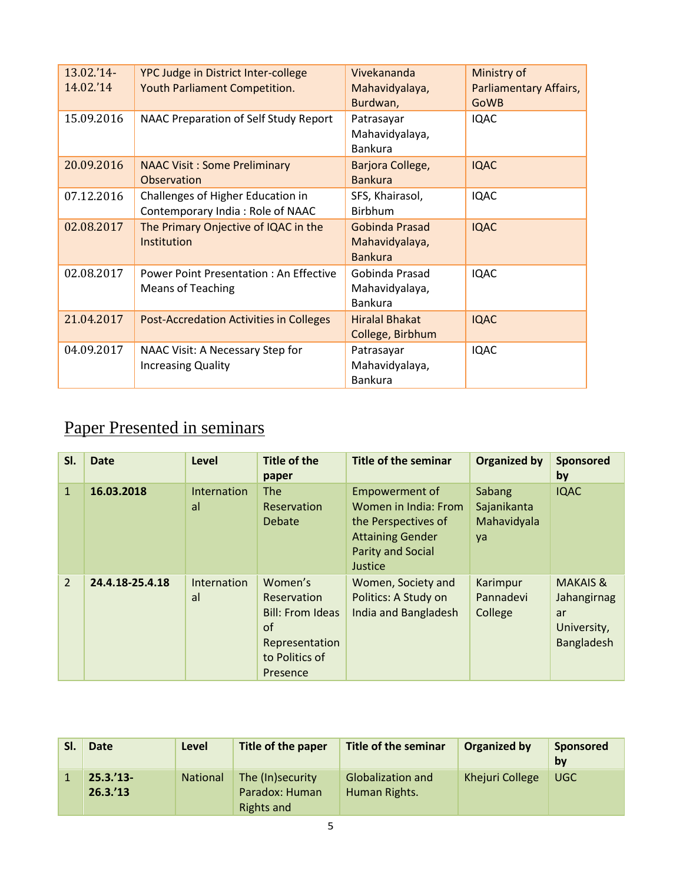| 13.02.'14-<br>14.02.'14 | YPC Judge in District Inter-college<br>Youth Parliament Competition.      | Vivekananda<br>Mahavidyalaya,<br>Burdwan,          | Ministry of<br>Parliamentary Affairs,<br><b>GoWB</b> |
|-------------------------|---------------------------------------------------------------------------|----------------------------------------------------|------------------------------------------------------|
| 15.09.2016              | NAAC Preparation of Self Study Report                                     | Patrasayar<br>Mahavidyalaya,<br><b>Bankura</b>     | <b>IQAC</b>                                          |
| 20.09.2016              | <b>NAAC Visit: Some Preliminary</b><br>Observation                        | Barjora College,<br><b>Bankura</b>                 | <b>IQAC</b>                                          |
| 07.12.2016              | Challenges of Higher Education in<br>Contemporary India: Role of NAAC     | SFS, Khairasol,<br><b>Birbhum</b>                  | <b>IQAC</b>                                          |
| 02.08.2017              | The Primary Onjective of IQAC in the<br><b>Institution</b>                | Gobinda Prasad<br>Mahavidyalaya,<br><b>Bankura</b> | <b>IQAC</b>                                          |
| 02.08.2017              | <b>Power Point Presentation: An Effective</b><br><b>Means of Teaching</b> | Gobinda Prasad<br>Mahavidyalaya,<br><b>Bankura</b> | <b>IQAC</b>                                          |
| 21.04.2017              | <b>Post-Accredation Activities in Colleges</b>                            | <b>Hiralal Bhakat</b><br>College, Birbhum          | <b>IQAC</b>                                          |
| 04.09.2017              | NAAC Visit: A Necessary Step for<br><b>Increasing Quality</b>             | Patrasayar<br>Mahavidyalaya,<br><b>Bankura</b>     | <b>IQAC</b>                                          |

# Paper Presented in seminars

| SI.            | <b>Date</b>     | Level             | <b>Title of the</b><br>paper                                                                            | <b>Title of the seminar</b>                                                                                                     | <b>Organized by</b>                        | Sponsored<br>by                                                       |
|----------------|-----------------|-------------------|---------------------------------------------------------------------------------------------------------|---------------------------------------------------------------------------------------------------------------------------------|--------------------------------------------|-----------------------------------------------------------------------|
| $\mathbf{1}$   | 16.03.2018      | Internation<br>al | The<br>Reservation<br>Debate                                                                            | Empowerment of<br>Women in India: From<br>the Perspectives of<br><b>Attaining Gender</b><br><b>Parity and Social</b><br>Justice | Sabang<br>Sajanikanta<br>Mahavidyala<br>ya | <b>IQAC</b>                                                           |
| $\overline{2}$ | 24.4.18-25.4.18 | Internation<br>al | Women's<br>Reservation<br><b>Bill: From Ideas</b><br>of<br>Representation<br>to Politics of<br>Presence | Women, Society and<br>Politics: A Study on<br>India and Bangladesh                                                              | Karimpur<br>Pannadevi<br>College           | <b>MAKAIS &amp;</b><br>Jahangirnag<br>ar<br>University,<br>Bangladesh |

| SI. | <b>Date</b>                  | Level           | Title of the paper                                      | Title of the seminar                      | <b>Organized by</b> | Sponsored<br>by |
|-----|------------------------------|-----------------|---------------------------------------------------------|-------------------------------------------|---------------------|-----------------|
|     | $25.3.'13-$<br>$26.3.^{'}13$ | <b>National</b> | The (In)security<br>Paradox: Human<br><b>Rights and</b> | <b>Globalization and</b><br>Human Rights. | Khejuri College     | <b>UGC</b>      |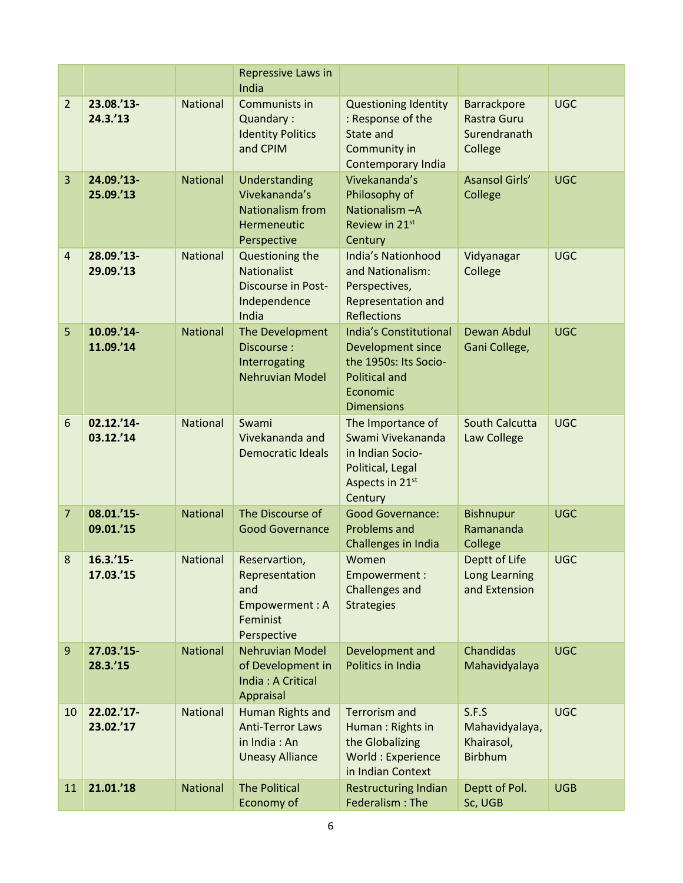|                |                          |                 | <b>Repressive Laws in</b><br>India                                                          |                                                                                                                                      |                                                         |            |
|----------------|--------------------------|-----------------|---------------------------------------------------------------------------------------------|--------------------------------------------------------------------------------------------------------------------------------------|---------------------------------------------------------|------------|
| $\overline{2}$ | 23.08.'13-<br>24.3.'13   | National        | Communists in<br>Quandary:<br><b>Identity Politics</b><br>and CPIM                          | <b>Questioning Identity</b><br>: Response of the<br>State and<br>Community in<br><b>Contemporary India</b>                           | Barrackpore<br>Rastra Guru<br>Surendranath<br>College   | <b>UGC</b> |
| $\overline{3}$ | 24.09.'13-<br>25.09.'13  | <b>National</b> | Understanding<br>Vivekananda's<br>Nationalism from<br>Hermeneutic<br>Perspective            | Vivekananda's<br>Philosophy of<br>Nationalism-A<br>Review in 21st<br>Century                                                         | <b>Asansol Girls'</b><br>College                        | <b>UGC</b> |
| $\overline{4}$ | 28.09.'13-<br>29.09.'13  | National        | Questioning the<br><b>Nationalist</b><br><b>Discourse in Post-</b><br>Independence<br>India | <b>India's Nationhood</b><br>and Nationalism:<br>Perspectives,<br>Representation and<br><b>Reflections</b>                           | Vidyanagar<br>College                                   | <b>UGC</b> |
| 5              | 10.09.'14-<br>11.09.'14  | <b>National</b> | The Development<br>Discourse:<br>Interrogating<br><b>Nehruvian Model</b>                    | <b>India's Constitutional</b><br>Development since<br>the 1950s: Its Socio-<br><b>Political and</b><br>Economic<br><b>Dimensions</b> | Dewan Abdul<br>Gani College,                            | <b>UGC</b> |
| 6              | 02.12.'14-<br>03.12.'14  | National        | Swami<br>Vivekananda and<br><b>Democratic Ideals</b>                                        | The Importance of<br>Swami Vivekananda<br>in Indian Socio-<br>Political, Legal<br>Aspects in 21st<br>Century                         | South Calcutta<br>Law College                           | <b>UGC</b> |
| $\overline{7}$ | 08.01.'15-<br>09.01.'15  | <b>National</b> | The Discourse of<br><b>Good Governance</b>                                                  | <b>Good Governance:</b><br><b>Problems and</b><br>Challenges in India                                                                | <b>Bishnupur</b><br>Ramananda<br>College                | <b>UGC</b> |
| 8              | $16.3.'15-$<br>17.03.'15 | National        | Reservartion<br>Representation<br>and<br>Empowerment: A<br>Feminist<br>Perspective          | Women<br>Empowerment:<br><b>Challenges and</b><br><b>Strategies</b>                                                                  | Deptt of Life<br>Long Learning<br>and Extension         | <b>UGC</b> |
| 9              | 27.03.'15-<br>28.3.'15   | <b>National</b> | <b>Nehruvian Model</b><br>of Development in<br>India: A Critical<br>Appraisal               | Development and<br>Politics in India                                                                                                 | Chandidas<br>Mahavidyalaya                              | <b>UGC</b> |
| 10             | 22.02.'17-<br>23.02.'17  | National        | Human Rights and<br><b>Anti-Terror Laws</b><br>in India: An<br><b>Uneasy Alliance</b>       | <b>Terrorism and</b><br>Human: Rights in<br>the Globalizing<br>World: Experience<br>in Indian Context                                | S.F.S<br>Mahavidyalaya,<br>Khairasol,<br><b>Birbhum</b> | <b>UGC</b> |
| 11             | 21.01.'18                | National        | <b>The Political</b><br>Economy of                                                          | <b>Restructuring Indian</b><br>Federalism: The                                                                                       | Deptt of Pol.<br>Sc, UGB                                | <b>UGB</b> |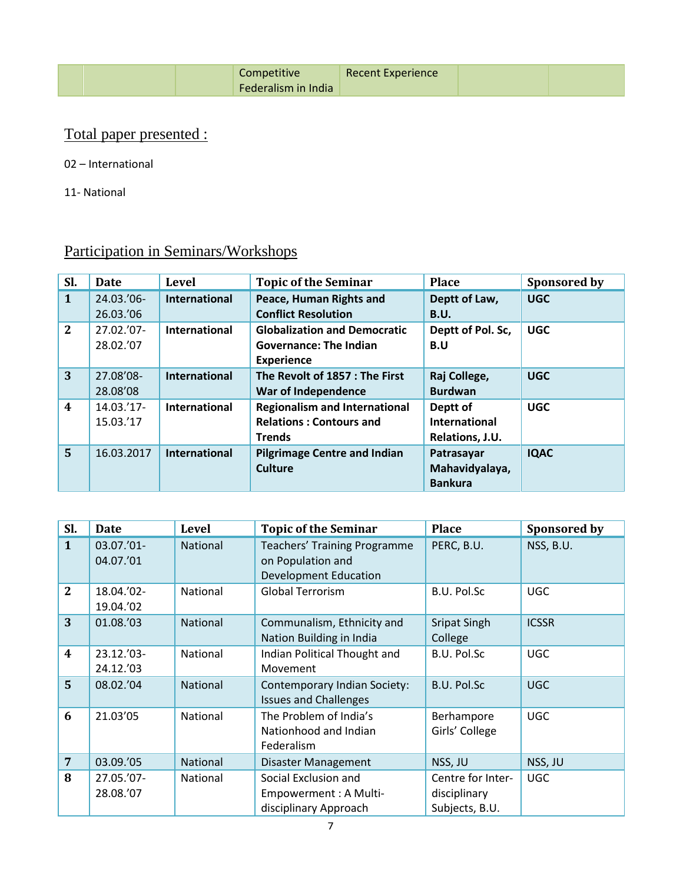| <b>Recent Experience</b><br>Competitive<br>Federalism in India |
|----------------------------------------------------------------|
|----------------------------------------------------------------|

### Total paper presented :

02 – International

11- National

| Sl.                     | Date                  | <b>Level</b>         | <b>Topic of the Seminar</b>          | <b>Place</b>         | Sponsored by |
|-------------------------|-----------------------|----------------------|--------------------------------------|----------------------|--------------|
| $\mathbf{1}$            | $24.03.^{\prime}06$ - | International        | Peace, Human Rights and              | Deptt of Law,        | <b>UGC</b>   |
|                         | 26.03.'06             |                      | <b>Conflict Resolution</b>           | <b>B.U.</b>          |              |
| $\overline{2}$          | 27.02.'07-            | International        | <b>Globalization and Democratic</b>  | Deptt of Pol. Sc,    | <b>UGC</b>   |
|                         | 28.02.'07             |                      | <b>Governance: The Indian</b>        | B.U                  |              |
|                         |                       |                      | <b>Experience</b>                    |                      |              |
| 3                       | 27.08'08-             | <b>International</b> | The Revolt of 1857 : The First       | Raj College,         | <b>UGC</b>   |
|                         | 28.08'08              |                      | War of Independence                  | <b>Burdwan</b>       |              |
| $\overline{\mathbf{4}}$ | 14.03.'17-            | International        | <b>Regionalism and International</b> | Deptt of             | <b>UGC</b>   |
|                         | 15.03.'17             |                      | <b>Relations: Contours and</b>       | <b>International</b> |              |
|                         |                       |                      | <b>Trends</b>                        | Relations, J.U.      |              |
| $\overline{5}$          | 16.03.2017            | <b>International</b> | <b>Pilgrimage Centre and Indian</b>  | Patrasayar           | <b>IQAC</b>  |
|                         |                       |                      | Culture                              | Mahavidyalaya,       |              |
|                         |                       |                      |                                      | <b>Bankura</b>       |              |

## Participation in Seminars/Workshops

| Sl.                     | <b>Date</b>             | Level    | <b>Topic of the Seminar</b><br><b>Place</b>                                                            |                                                     | Sponsored by |
|-------------------------|-------------------------|----------|--------------------------------------------------------------------------------------------------------|-----------------------------------------------------|--------------|
| $\mathbf{1}$            | 03.07.'01-<br>04.07.'01 | National | PERC, B.U.<br><b>Teachers' Training Programme</b><br>on Population and<br><b>Development Education</b> |                                                     | NSS, B.U.    |
| $\mathbf{2}$            | 18.04.'02-<br>19.04.'02 | National | B.U. Pol.Sc<br><b>Global Terrorism</b>                                                                 |                                                     | <b>UGC</b>   |
| 3                       | 01.08.'03               | National | Communalism, Ethnicity and<br><b>Sripat Singh</b><br>Nation Building in India<br>College               |                                                     | <b>ICSSR</b> |
| $\overline{\mathbf{4}}$ | 23.12.'03-<br>24.12.'03 | National | Indian Political Thought and<br>B.U. Pol.Sc<br>Movement                                                |                                                     | <b>UGC</b>   |
| $5\overline{5}$         | 08.02.'04               | National | <b>B.U. Pol.Sc</b><br>Contemporary Indian Society:<br><b>Issues and Challenges</b>                     |                                                     | <b>UGC</b>   |
| 6                       | 21.03'05                | National | The Problem of India's<br>Berhampore<br>Girls' College<br>Nationhood and Indian<br>Federalism          |                                                     | <b>UGC</b>   |
| $\overline{7}$          | 03.09.'05               | National | NSS, JU<br>Disaster Management                                                                         |                                                     | NSS, JU      |
| 8                       | 27.05.'07-<br>28.08.'07 | National | Social Exclusion and<br>Empowerment : A Multi-<br>disciplinary Approach                                | Centre for Inter-<br>disciplinary<br>Subjects, B.U. | <b>UGC</b>   |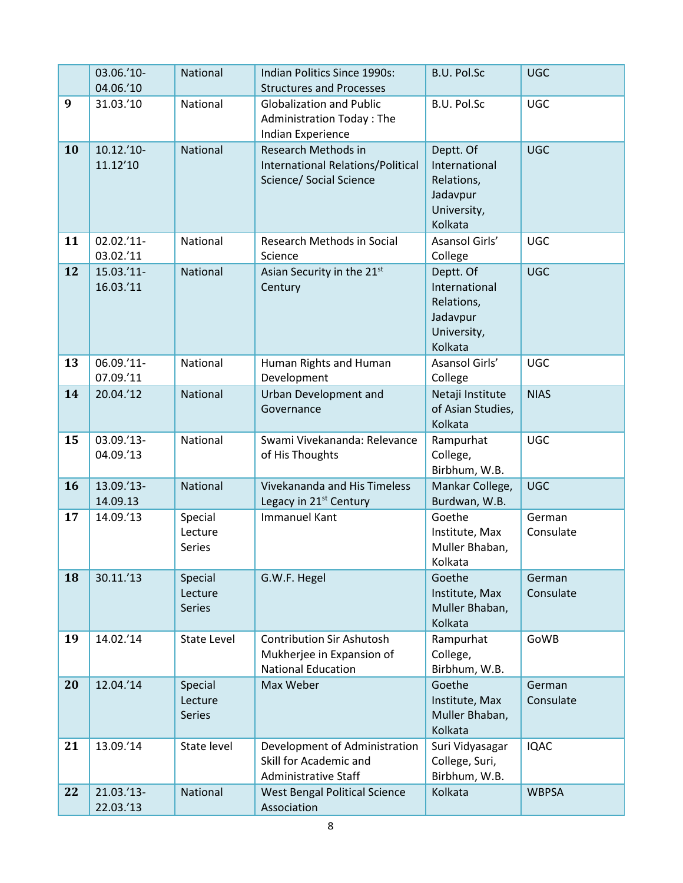|    | 03.06.'10-<br>04.06.'10  | National                            | Indian Politics Since 1990s:<br><b>B.U. Pol.Sc</b><br><b>Structures and Processes</b>                                                        |                                                                                | <b>UGC</b>          |
|----|--------------------------|-------------------------------------|----------------------------------------------------------------------------------------------------------------------------------------------|--------------------------------------------------------------------------------|---------------------|
| 9  | 31.03.'10                | National                            | B.U. Pol.Sc<br><b>Globalization and Public</b><br><b>Administration Today: The</b><br>Indian Experience                                      |                                                                                | <b>UGC</b>          |
| 10 | $10.12.'10-$<br>11.12'10 | National                            | Research Methods in<br><b>International Relations/Political</b><br>Science/ Social Science                                                   | Deptt. Of<br>International<br>Relations,<br>Jadavpur<br>University,<br>Kolkata | <b>UGC</b>          |
| 11 | 02.02.'11-<br>03.02.'11  | National                            | Asansol Girls'<br>Research Methods in Social<br>College<br>Science                                                                           |                                                                                | <b>UGC</b>          |
| 12 | 15.03.'11-<br>16.03.'11  | National                            | Deptt. Of<br>Asian Security in the 21st<br>International<br>Century<br>Relations,<br>Jadavpur<br>University,<br>Kolkata                      |                                                                                | <b>UGC</b>          |
| 13 | 06.09.'11-<br>07.09.'11  | National                            | Human Rights and Human<br>Development                                                                                                        | Asansol Girls'<br>College                                                      | <b>UGC</b>          |
| 14 | 20.04.'12                | National                            | Urban Development and<br>Governance                                                                                                          | Netaji Institute<br>of Asian Studies,<br>Kolkata                               | <b>NIAS</b>         |
| 15 | 03.09.'13-<br>04.09.'13  | National                            | Swami Vivekananda: Relevance<br>Rampurhat<br>of His Thoughts<br>College,<br>Birbhum, W.B.                                                    |                                                                                | <b>UGC</b>          |
| 16 | 13.09.'13-<br>14.09.13   | National                            | <b>Vivekananda and His Timeless</b><br>Legacy in 21 <sup>st</sup> Century                                                                    | Mankar College,<br>Burdwan, W.B.                                               | <b>UGC</b>          |
| 17 | 14.09.'13                | Special<br>Lecture<br>Series        | <b>Immanuel Kant</b>                                                                                                                         | Goethe<br>Institute, Max<br>Muller Bhaban,<br>Kolkata                          | German<br>Consulate |
| 18 | 30.11.'13                | Special<br>Lecture<br><b>Series</b> | G.W.F. Hegel                                                                                                                                 | Goethe<br>Institute, Max<br>Muller Bhaban,<br>Kolkata                          | German<br>Consulate |
| 19 | 14.02.'14                | <b>State Level</b>                  | <b>Contribution Sir Ashutosh</b><br>Rampurhat<br>Mukherjee in Expansion of<br>College,<br><b>National Education</b><br>Birbhum, W.B.         |                                                                                | GoWB                |
| 20 | 12.04.'14                | Special<br>Lecture<br><b>Series</b> | Max Weber                                                                                                                                    | Goethe<br>Institute, Max<br>Muller Bhaban,<br>Kolkata                          | German<br>Consulate |
| 21 | 13.09.'14                | State level                         | Development of Administration<br>Suri Vidyasagar<br>Skill for Academic and<br>College, Suri,<br>Birbhum, W.B.<br><b>Administrative Staff</b> |                                                                                | <b>IQAC</b>         |
| 22 | 21.03.'13-<br>22.03.'13  | National                            | <b>West Bengal Political Science</b><br>Association                                                                                          | Kolkata                                                                        | <b>WBPSA</b>        |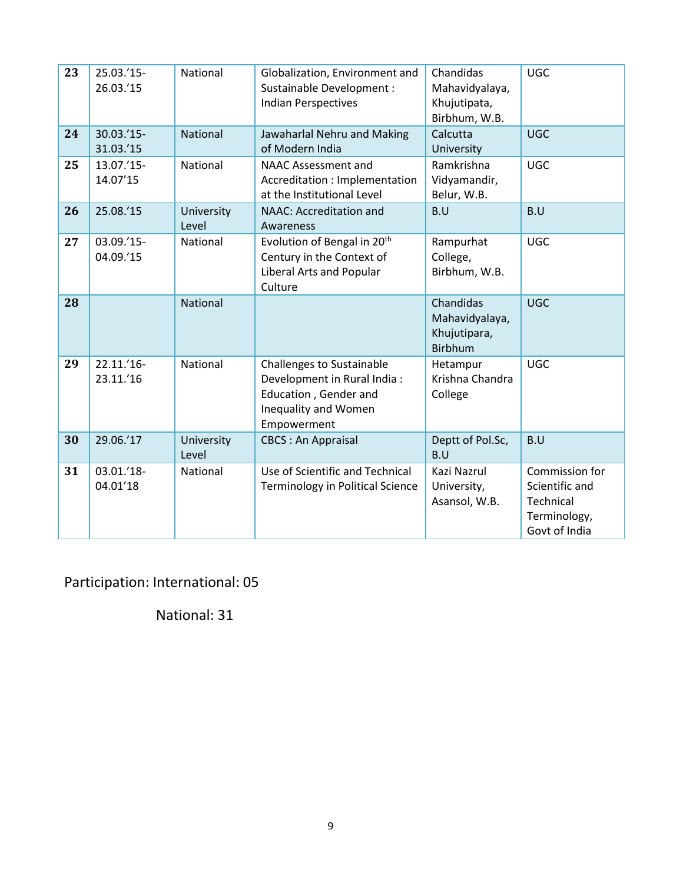| 23 | 25.03.'15-<br>26.03.'15 | National            | Globalization, Environment and<br>Sustainable Development :<br><b>Indian Perspectives</b>                                                                                 | Chandidas<br>Mahavidyalaya,<br>Khujutipata,<br>Birbhum, W.B.  | <b>UGC</b>                                                                     |
|----|-------------------------|---------------------|---------------------------------------------------------------------------------------------------------------------------------------------------------------------------|---------------------------------------------------------------|--------------------------------------------------------------------------------|
| 24 | 30.03.'15-<br>31.03.'15 | National            | Jawaharlal Nehru and Making<br>of Modern India                                                                                                                            | Calcutta<br>University                                        | <b>UGC</b>                                                                     |
| 25 | 13.07.'15-<br>14.07'15  | National            | <b>NAAC Assessment and</b><br>Accreditation : Implementation<br>at the Institutional Level                                                                                | Ramkrishna<br>Vidyamandir,<br>Belur, W.B.                     | <b>UGC</b>                                                                     |
| 26 | 25.08.'15               | University<br>Level | <b>NAAC: Accreditation and</b><br>Awareness                                                                                                                               | B.U                                                           |                                                                                |
| 27 | 03.09.'15-<br>04.09.'15 | National            | Evolution of Bengal in 20 <sup>th</sup><br>Rampurhat<br>Century in the Context of<br>College,<br><b>Liberal Arts and Popular</b><br>Birbhum, W.B.<br>Culture              |                                                               | <b>UGC</b>                                                                     |
| 28 |                         | National            |                                                                                                                                                                           | Chandidas<br>Mahavidyalaya,<br>Khujutipara,<br><b>Birbhum</b> | <b>UGC</b>                                                                     |
| 29 | 22.11.'16-<br>23.11.'16 | National            | <b>Challenges to Sustainable</b><br>Hetampur<br>Krishna Chandra<br>Development in Rural India:<br>Education, Gender and<br>College<br>Inequality and Women<br>Empowerment |                                                               | <b>UGC</b>                                                                     |
| 30 | 29.06.'17               | University<br>Level | <b>CBCS: An Appraisal</b><br>Deptt of Pol.Sc,<br>B.U                                                                                                                      |                                                               | B.U                                                                            |
| 31 | 03.01.'18-<br>04.01'18  | National            | Use of Scientific and Technical<br><b>Terminology in Political Science</b>                                                                                                | Kazi Nazrul<br>University,<br>Asansol, W.B.                   | Commission for<br>Scientific and<br>Technical<br>Terminology,<br>Govt of India |

Participation: International: 05

National: 31